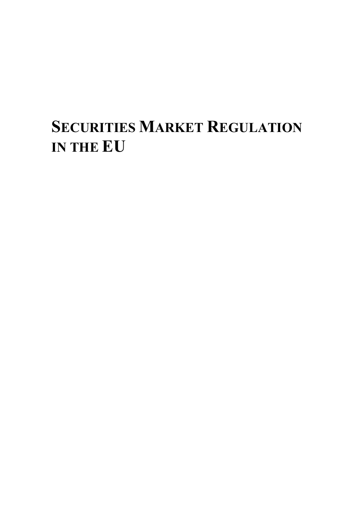# **SECURITIES MARKET REGULATION IN THE EU**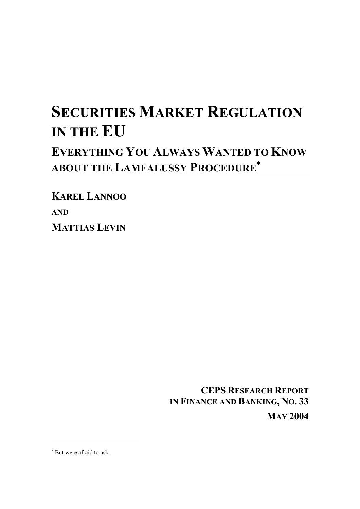# **SECURITIES MARKET REGULATION IN THE EU EVERYTHING YOU ALWAYS WANTED TO KNOW ABOUT THE LAMFALUSSY PROCEDURE**<sup>∗</sup>

**KAREL LANNOO AND MATTIAS LEVIN**

> **CEPS RESEARCH REPORT IN FINANCE AND BANKING, NO. 33 MAY 2004**

∗ But were afraid to ask.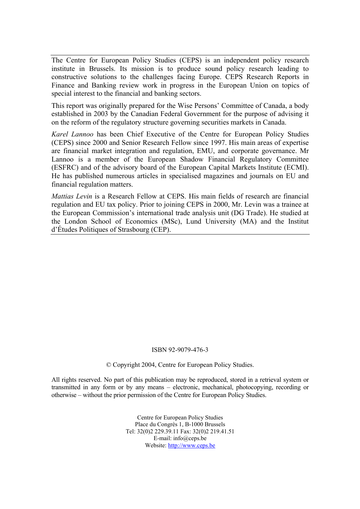The Centre for European Policy Studies (CEPS) is an independent policy research institute in Brussels. Its mission is to produce sound policy research leading to constructive solutions to the challenges facing Europe. CEPS Research Reports in Finance and Banking review work in progress in the European Union on topics of special interest to the financial and banking sectors.

This report was originally prepared for the Wise Persons' Committee of Canada, a body established in 2003 by the Canadian Federal Government for the purpose of advising it on the reform of the regulatory structure governing securities markets in Canada.

*Karel Lannoo* has been Chief Executive of the Centre for European Policy Studies (CEPS) since 2000 and Senior Research Fellow since 1997. His main areas of expertise are financial market integration and regulation, EMU, and corporate governance. Mr Lannoo is a member of the European Shadow Financial Regulatory Committee (ESFRC) and of the advisory board of the European Capital Markets Institute (ECMI). He has published numerous articles in specialised magazines and journals on EU and financial regulation matters.

*Mattias Levin* is a Research Fellow at CEPS. His main fields of research are financial regulation and EU tax policy. Prior to joining CEPS in 2000, Mr. Levin was a trainee at the European Commission's international trade analysis unit (DG Trade). He studied at the London School of Economics (MSc), Lund University (MA) and the Institut d'Études Politiques of Strasbourg (CEP).

#### ISBN 92-9079-476-3

© Copyright 2004, Centre for European Policy Studies.

All rights reserved. No part of this publication may be reproduced, stored in a retrieval system or transmitted in any form or by any means – electronic, mechanical, photocopying, recording or otherwise – without the prior permission of the Centre for European Policy Studies.

> Centre for European Policy Studies Place du Congrès 1, B-1000 Brussels Tel: 32(0)2 229.39.11 Fax: 32(0)2 219.41.51 E-mail: info@ceps.be Website: http://www.ceps.be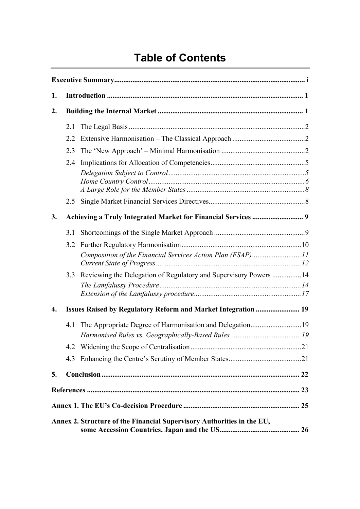## **Table of Contents**

| 1.               |     |                                                                        |  |  |  |
|------------------|-----|------------------------------------------------------------------------|--|--|--|
| $\overline{2}$ . |     |                                                                        |  |  |  |
|                  | 2.1 |                                                                        |  |  |  |
|                  | 2.2 |                                                                        |  |  |  |
|                  | 2.3 |                                                                        |  |  |  |
|                  | 2.4 |                                                                        |  |  |  |
|                  |     |                                                                        |  |  |  |
|                  | 2.5 |                                                                        |  |  |  |
| 3.               |     |                                                                        |  |  |  |
|                  | 3.1 |                                                                        |  |  |  |
|                  | 3.2 |                                                                        |  |  |  |
|                  |     | Composition of the Financial Services Action Plan (FSAP)11             |  |  |  |
|                  | 3.3 | Reviewing the Delegation of Regulatory and Supervisory Powers 14       |  |  |  |
|                  |     |                                                                        |  |  |  |
| 4.               |     | Issues Raised by Regulatory Reform and Market Integration  19          |  |  |  |
|                  | 4.1 | The Appropriate Degree of Harmonisation and Delegation19               |  |  |  |
|                  |     |                                                                        |  |  |  |
|                  |     |                                                                        |  |  |  |
|                  | 4.3 |                                                                        |  |  |  |
| 5.               |     |                                                                        |  |  |  |
|                  |     |                                                                        |  |  |  |
|                  |     |                                                                        |  |  |  |
|                  |     | Annex 2. Structure of the Financial Supervisory Authorities in the EU, |  |  |  |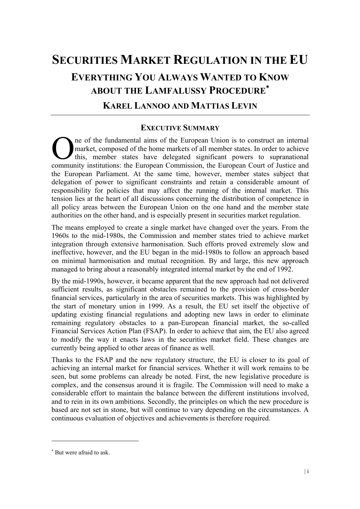# **SECURITIES MARKET REGULATION IN THE EU EVERYTHING YOU ALWAYS WANTED TO KNOW ABOUT THE LAMFALUSSY PROCEDURE**<sup>∗</sup> **KAREL LANNOO AND MATTIAS LEVIN**

#### **EXECUTIVE SUMMARY**

ne of the fundamental aims of the European Union is to construct an internal market, composed of the home markets of all member states. In order to achieve this, member states have delegated significant powers to supranational The of the fundamental aims of the European Union is to construct an internal market, composed of the home markets of all member states. In order to achieve this, member states have delegated significant powers to supranat the European Parliament. At the same time, however, member states subject that delegation of power to significant constraints and retain a considerable amount of responsibility for policies that may affect the running of the internal market. This tension lies at the heart of all discussions concerning the distribution of competence in all policy areas between the European Union on the one hand and the member state authorities on the other hand, and is especially present in securities market regulation.

The means employed to create a single market have changed over the years. From the 1960s to the mid-1980s, the Commission and member states tried to achieve market integration through extensive harmonisation. Such efforts proved extremely slow and ineffective, however, and the EU began in the mid-1980s to follow an approach based on minimal harmonisation and mutual recognition. By and large, this new approach managed to bring about a reasonably integrated internal market by the end of 1992.

By the mid-1990s, however, it became apparent that the new approach had not delivered sufficient results, as significant obstacles remained to the provision of cross-border financial services, particularly in the area of securities markets. This was highlighted by the start of monetary union in 1999. As a result, the EU set itself the objective of updating existing financial regulations and adopting new laws in order to eliminate remaining regulatory obstacles to a pan-European financial market, the so-called Financial Services Action Plan (FSAP). In order to achieve that aim, the EU also agreed to modify the way it enacts laws in the securities market field. These changes are currently being applied to other areas of finance as well.

Thanks to the FSAP and the new regulatory structure, the EU is closer to its goal of achieving an internal market for financial services. Whether it will work remains to be seen, but some problems can already be noted. First, the new legislative procedure is complex, and the consensus around it is fragile. The Commission will need to make a considerable effort to maintain the balance between the different institutions involved, and to rein in its own ambitions. Secondly, the principles on which the new procedure is based are not set in stone, but will continue to vary depending on the circumstances. A continuous evaluation of objectives and achievements is therefore required.

<sup>∗</sup> But were afraid to ask.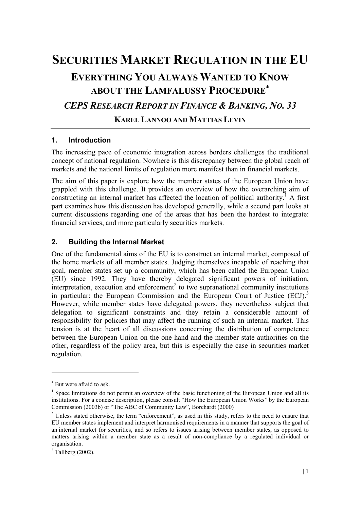## **SECURITIES MARKET REGULATION IN THE EU EVERYTHING YOU ALWAYS WANTED TO KNOW ABOUT THE LAMFALUSSY PROCEDURE**<sup>∗</sup> *CEPS RESEARCH REPORT IN FINANCE & BANKING, NO. 33*  **KAREL LANNOO AND MATTIAS LEVIN**

#### **1. Introduction**

The increasing pace of economic integration across borders challenges the traditional concept of national regulation. Nowhere is this discrepancy between the global reach of markets and the national limits of regulation more manifest than in financial markets.

The aim of this paper is explore how the member states of the European Union have grappled with this challenge. It provides an overview of how the overarching aim of constructing an internal market has affected the location of political authority.<sup>1</sup> A first part examines how this discussion has developed generally, while a second part looks at current discussions regarding one of the areas that has been the hardest to integrate: financial services, and more particularly securities markets.

#### **2. Building the Internal Market**

One of the fundamental aims of the EU is to construct an internal market, composed of the home markets of all member states. Judging themselves incapable of reaching that goal, member states set up a community, which has been called the European Union (EU) since 1992. They have thereby delegated significant powers of initiation, interpretation, execution and enforcement<sup>2</sup> to two supranational community institutions in particular: the European Commission and the European Court of Justice  $(ECJ)$ .<sup>3</sup> However, while member states have delegated powers, they nevertheless subject that delegation to significant constraints and they retain a considerable amount of responsibility for policies that may affect the running of such an internal market. This tension is at the heart of all discussions concerning the distribution of competence between the European Union on the one hand and the member state authorities on the other, regardless of the policy area, but this is especially the case in securities market regulation.

<sup>∗</sup> But were afraid to ask.

 $<sup>1</sup>$  Space limitations do not permit an overview of the basic functioning of the European Union and all its</sup> institutions. For a concise description, please consult "How the European Union Works" by the European Commission (2003b) or "The ABC of Community Law", Borchardt (2000)

 $2$  Unless stated otherwise, the term "enforcement", as used in this study, refers to the need to ensure that EU member states implement and interpret harmonised requirements in a manner that supports the goal of an internal market for securities, and so refers to issues arising between member states, as opposed to matters arising within a member state as a result of non-compliance by a regulated individual or organisation.

 $3$  Tallberg (2002).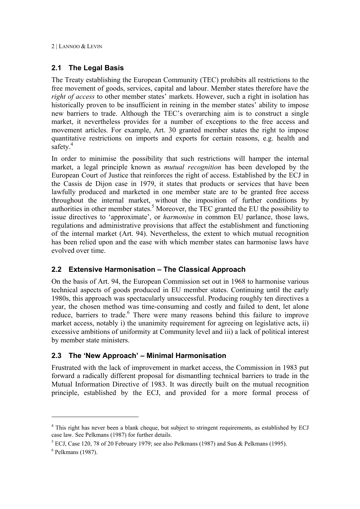#### **2.1 The Legal Basis**

The Treaty establishing the European Community (TEC) prohibits all restrictions to the free movement of goods, services, capital and labour. Member states therefore have the *right of access* to other member states' markets. However, such a right in isolation has historically proven to be insufficient in reining in the member states' ability to impose new barriers to trade. Although the TEC's overarching aim is to construct a single market, it nevertheless provides for a number of exceptions to the free access and movement articles. For example, Art. 30 granted member states the right to impose quantitative restrictions on imports and exports for certain reasons, e.g. health and safety. $4$ 

In order to minimise the possibility that such restrictions will hamper the internal market, a legal principle known as *mutual recognition* has been developed by the European Court of Justice that reinforces the right of access. Established by the ECJ in the Cassis de Dijon case in 1979, it states that products or services that have been lawfully produced and marketed in one member state are to be granted free access throughout the internal market, without the imposition of further conditions by authorities in other member states.<sup>5</sup> Moreover, the TEC granted the EU the possibility to issue directives to 'approximate', or *harmonise* in common EU parlance, those laws, regulations and administrative provisions that affect the establishment and functioning of the internal market (Art. 94). Nevertheless, the extent to which mutual recognition has been relied upon and the ease with which member states can harmonise laws have evolved over time.

#### **2.2 Extensive Harmonisation – The Classical Approach**

On the basis of Art. 94, the European Commission set out in 1968 to harmonise various technical aspects of goods produced in EU member states. Continuing until the early 1980s, this approach was spectacularly unsuccessful. Producing roughly ten directives a year, the chosen method was time-consuming and costly and failed to dent, let alone reduce, barriers to trade.<sup>6</sup> There were many reasons behind this failure to improve market access, notably i) the unanimity requirement for agreeing on legislative acts, ii) excessive ambitions of uniformity at Community level and iii) a lack of political interest by member state ministers.

#### **2.3 The 'New Approach' – Minimal Harmonisation**

Frustrated with the lack of improvement in market access, the Commission in 1983 put forward a radically different proposal for dismantling technical barriers to trade in the Mutual Information Directive of 1983. It was directly built on the mutual recognition principle, established by the ECJ, and provided for a more formal process of

<sup>&</sup>lt;sup>4</sup> This right has never been a blank cheque, but subject to stringent requirements, as established by ECJ case law. See Pelkmans (1987) for further details.

<sup>&</sup>lt;sup>5</sup> ECJ, Case 120, 78 of 20 February 1979; see also Pelkmans (1987) and Sun & Pelkmans (1995).

 $<sup>6</sup>$  Pelkmans (1987).</sup>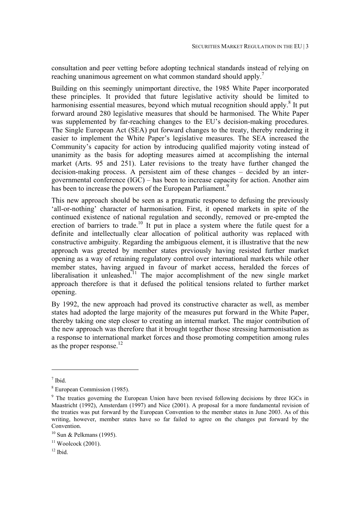consultation and peer vetting before adopting technical standards instead of relying on reaching unanimous agreement on what common standard should apply.<sup>7</sup>

Building on this seemingly unimportant directive, the 1985 White Paper incorporated these principles. It provided that future legislative activity should be limited to harmonising essential measures, beyond which mutual recognition should apply.<sup>8</sup> It put forward around 280 legislative measures that should be harmonised. The White Paper was supplemented by far-reaching changes to the EU's decision-making procedures. The Single European Act (SEA) put forward changes to the treaty, thereby rendering it easier to implement the White Paper's legislative measures. The SEA increased the Community's capacity for action by introducing qualified majority voting instead of unanimity as the basis for adopting measures aimed at accomplishing the internal market (Arts. 95 and 251). Later revisions to the treaty have further changed the decision-making process. A persistent aim of these changes – decided by an intergovernmental conference (IGC) – has been to increase capacity for action. Another aim has been to increase the powers of the European Parliament.<sup>9</sup>

This new approach should be seen as a pragmatic response to defusing the previously 'all-or-nothing' character of harmonisation. First, it opened markets in spite of the continued existence of national regulation and secondly, removed or pre-empted the erection of barriers to trade.<sup>10</sup> It put in place a system where the futile quest for a definite and intellectually clear allocation of political authority was replaced with constructive ambiguity. Regarding the ambiguous element, it is illustrative that the new approach was greeted by member states previously having resisted further market opening as a way of retaining regulatory control over international markets while other member states, having argued in favour of market access, heralded the forces of liberalisation it unleashed.<sup>11</sup> The major accomplishment of the new single market approach therefore is that it defused the political tensions related to further market opening.

By 1992, the new approach had proved its constructive character as well, as member states had adopted the large majority of the measures put forward in the White Paper, thereby taking one step closer to creating an internal market. The major contribution of the new approach was therefore that it brought together those stressing harmonisation as a response to international market forces and those promoting competition among rules as the proper response. $^{12}$ 

 $<sup>7</sup>$  Ibid.</sup>

<sup>8</sup> European Commission (1985).

<sup>&</sup>lt;sup>9</sup> The treaties governing the European Union have been revised following decisions by three IGCs in Maastricht (1992), Amsterdam (1997) and Nice (2001). A proposal for a more fundamental revision of the treaties was put forward by the European Convention to the member states in June 2003. As of this writing, however, member states have so far failed to agree on the changes put forward by the Convention.

 $10$  Sun & Pelkmans (1995).

 $11$  Woolcock (2001).

 $12$  Ibid.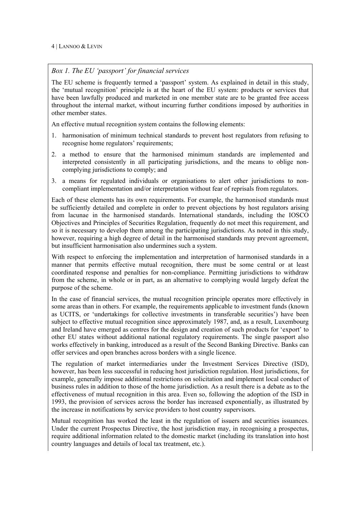#### *Box 1. The EU 'passport' for financial services*

The EU scheme is frequently termed a 'passport' system. As explained in detail in this study, the 'mutual recognition' principle is at the heart of the EU system: products or services that have been lawfully produced and marketed in one member state are to be granted free access throughout the internal market, without incurring further conditions imposed by authorities in other member states.

An effective mutual recognition system contains the following elements:

- 1. harmonisation of minimum technical standards to prevent host regulators from refusing to recognise home regulators' requirements;
- 2. a method to ensure that the harmonised minimum standards are implemented and interpreted consistently in all participating jurisdictions, and the means to oblige noncomplying jurisdictions to comply; and
- 3. a means for regulated individuals or organisations to alert other jurisdictions to noncompliant implementation and/or interpretation without fear of reprisals from regulators.

Each of these elements has its own requirements. For example, the harmonised standards must be sufficiently detailed and complete in order to prevent objections by host regulators arising from lacunae in the harmonised standards. International standards, including the IOSCO Objectives and Principles of Securities Regulation, frequently do not meet this requirement, and so it is necessary to develop them among the participating jurisdictions. As noted in this study, however, requiring a high degree of detail in the harmonised standards may prevent agreement, but insufficient harmonisation also undermines such a system.

With respect to enforcing the implementation and interpretation of harmonised standards in a manner that permits effective mutual recognition, there must be some central or at least coordinated response and penalties for non-compliance. Permitting jurisdictions to withdraw from the scheme, in whole or in part, as an alternative to complying would largely defeat the purpose of the scheme.

In the case of financial services, the mutual recognition principle operates more effectively in some areas than in others. For example, the requirements applicable to investment funds (known as UCITS, or 'undertakings for collective investments in transferable securities') have been subject to effective mutual recognition since approximately 1987, and, as a result, Luxembourg and Ireland have emerged as centres for the design and creation of such products for 'export' to other EU states without additional national regulatory requirements. The single passport also works effectively in banking, introduced as a result of the Second Banking Directive. Banks can offer services and open branches across borders with a single licence.

The regulation of market intermediaries under the Investment Services Directive (ISD), however, has been less successful in reducing host jurisdiction regulation. Host jurisdictions, for example, generally impose additional restrictions on solicitation and implement local conduct of business rules in addition to those of the home jurisdiction. As a result there is a debate as to the effectiveness of mutual recognition in this area. Even so, following the adoption of the ISD in 1993, the provision of services across the border has increased exponentially, as illustrated by the increase in notifications by service providers to host country supervisors.

Mutual recognition has worked the least in the regulation of issuers and securities issuances. Under the current Prospectus Directive, the host jurisdiction may, in recognising a prospectus, require additional information related to the domestic market (including its translation into host country languages and details of local tax treatment, etc.).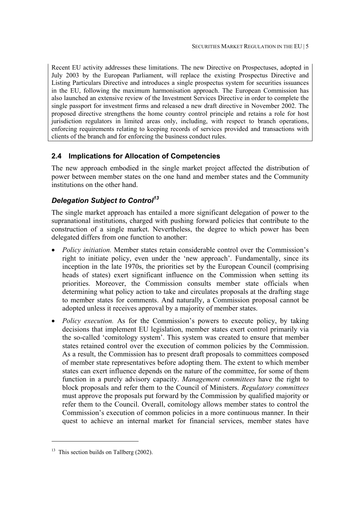Recent EU activity addresses these limitations. The new Directive on Prospectuses, adopted in July 2003 by the European Parliament, will replace the existing Prospectus Directive and Listing Particulars Directive and introduces a single prospectus system for securities issuances in the EU, following the maximum harmonisation approach. The European Commission has also launched an extensive review of the Investment Services Directive in order to complete the single passport for investment firms and released a new draft directive in November 2002. The proposed directive strengthens the home country control principle and retains a role for host jurisdiction regulators in limited areas only, including, with respect to branch operations, enforcing requirements relating to keeping records of services provided and transactions with clients of the branch and for enforcing the business conduct rules.

#### **2.4 Implications for Allocation of Competencies**

The new approach embodied in the single market project affected the distribution of power between member states on the one hand and member states and the Community institutions on the other hand.

#### *Delegation Subject to Control13*

The single market approach has entailed a more significant delegation of power to the supranational institutions, charged with pushing forward policies that contribute to the construction of a single market. Nevertheless, the degree to which power has been delegated differs from one function to another:

- *Policy initiation.* Member states retain considerable control over the Commission's right to initiate policy, even under the 'new approach'. Fundamentally, since its inception in the late 1970s, the priorities set by the European Council (comprising heads of states) exert significant influence on the Commission when setting its priorities. Moreover, the Commission consults member state officials when determining what policy action to take and circulates proposals at the drafting stage to member states for comments. And naturally, a Commission proposal cannot be adopted unless it receives approval by a majority of member states.
- *Policy execution*. As for the Commission's powers to execute policy, by taking decisions that implement EU legislation, member states exert control primarily via the so-called 'comitology system'. This system was created to ensure that member states retained control over the execution of common policies by the Commission. As a result, the Commission has to present draft proposals to committees composed of member state representatives before adopting them. The extent to which member states can exert influence depends on the nature of the committee, for some of them function in a purely advisory capacity. *Management committees* have the right to block proposals and refer them to the Council of Ministers. *Regulatory committees* must approve the proposals put forward by the Commission by qualified majority or refer them to the Council. Overall, comitology allows member states to control the Commission's execution of common policies in a more continuous manner. In their quest to achieve an internal market for financial services, member states have

<sup>&</sup>lt;sup>13</sup> This section builds on Tallberg  $(2002)$ .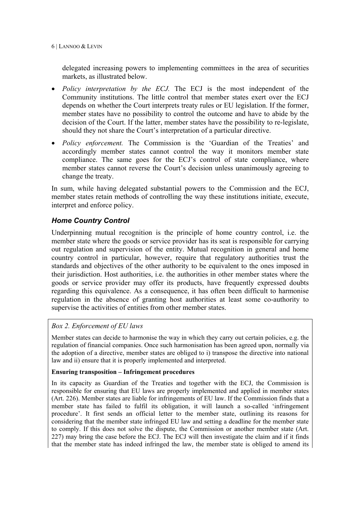6 | LANNOO & LEVIN

delegated increasing powers to implementing committees in the area of securities markets, as illustrated below.

- *Policy interpretation by the ECJ.* The ECJ is the most independent of the Community institutions. The little control that member states exert over the ECJ depends on whether the Court interprets treaty rules or EU legislation. If the former, member states have no possibility to control the outcome and have to abide by the decision of the Court. If the latter, member states have the possibility to re-legislate, should they not share the Court's interpretation of a particular directive.
- *Policy enforcement.* The Commission is the 'Guardian of the Treaties' and accordingly member states cannot control the way it monitors member state compliance. The same goes for the ECJ's control of state compliance, where member states cannot reverse the Court's decision unless unanimously agreeing to change the treaty.

In sum, while having delegated substantial powers to the Commission and the ECJ, member states retain methods of controlling the way these institutions initiate, execute, interpret and enforce policy.

#### *Home Country Control*

Underpinning mutual recognition is the principle of home country control, i.e. the member state where the goods or service provider has its seat is responsible for carrying out regulation and supervision of the entity. Mutual recognition in general and home country control in particular, however, require that regulatory authorities trust the standards and objectives of the other authority to be equivalent to the ones imposed in their jurisdiction. Host authorities, i.e. the authorities in other member states where the goods or service provider may offer its products, have frequently expressed doubts regarding this equivalence. As a consequence, it has often been difficult to harmonise regulation in the absence of granting host authorities at least some co-authority to supervise the activities of entities from other member states.

#### *Box 2. Enforcement of EU laws*

Member states can decide to harmonise the way in which they carry out certain policies, e.g. the regulation of financial companies. Once such harmonisation has been agreed upon, normally via the adoption of a directive, member states are obliged to i) transpose the directive into national law and ii) ensure that it is properly implemented and interpreted.

#### **Ensuring transposition – Infringement procedures**

In its capacity as Guardian of the Treaties and together with the ECJ, the Commission is responsible for ensuring that EU laws are properly implemented and applied in member states (Art. 226). Member states are liable for infringements of EU law. If the Commission finds that a member state has failed to fulfil its obligation, it will launch a so-called 'infringement procedure'. It first sends an official letter to the member state, outlining its reasons for considering that the member state infringed EU law and setting a deadline for the member state to comply. If this does not solve the dispute, the Commission or another member state (Art. 227) may bring the case before the ECJ. The ECJ will then investigate the claim and if it finds that the member state has indeed infringed the law, the member state is obliged to amend its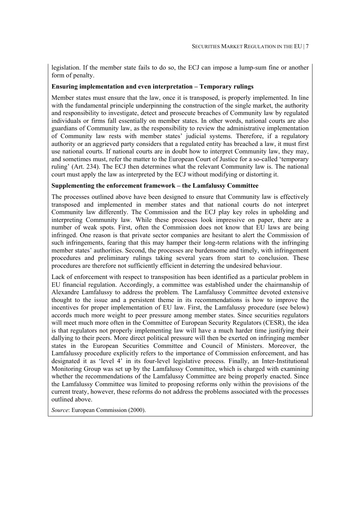legislation. If the member state fails to do so, the ECJ can impose a lump-sum fine or another form of penalty.

#### **Ensuring implementation and even interpretation – Temporary rulings**

Member states must ensure that the law, once it is transposed, is properly implemented. In line with the fundamental principle underpinning the construction of the single market, the authority and responsibility to investigate, detect and prosecute breaches of Community law by regulated individuals or firms fall essentially on member states. In other words, national courts are also guardians of Community law, as the responsibility to review the administrative implementation of Community law rests with member states' judicial systems. Therefore, if a regulatory authority or an aggrieved party considers that a regulated entity has breached a law, it must first use national courts. If national courts are in doubt how to interpret Community law, they may, and sometimes must, refer the matter to the European Court of Justice for a so-called 'temporary ruling' (Art. 234). The ECJ then determines what the relevant Community law is. The national court must apply the law as interpreted by the ECJ without modifying or distorting it.

#### **Supplementing the enforcement framework – the Lamfalussy Committee**

The processes outlined above have been designed to ensure that Community law is effectively transposed and implemented in member states and that national courts do not interpret Community law differently. The Commission and the ECJ play key roles in upholding and interpreting Community law. While these processes look impressive on paper, there are a number of weak spots. First, often the Commission does not know that EU laws are being infringed. One reason is that private sector companies are hesitant to alert the Commission of such infringements, fearing that this may hamper their long-term relations with the infringing member states' authorities. Second, the processes are burdensome and timely, with infringement procedures and preliminary rulings taking several years from start to conclusion. These procedures are therefore not sufficiently efficient in deterring the undesired behaviour.

Lack of enforcement with respect to transposition has been identified as a particular problem in EU financial regulation. Accordingly, a committee was established under the chairmanship of Alexandre Lamfalussy to address the problem. The Lamfalussy Committee devoted extensive thought to the issue and a persistent theme in its recommendations is how to improve the incentives for proper implementation of EU law. First, the Lamfalussy procedure (see below) accords much more weight to peer pressure among member states. Since securities regulators will meet much more often in the Committee of European Security Regulators (CESR), the idea is that regulators not properly implementing law will have a much harder time justifying their dallying to their peers. More direct political pressure will then be exerted on infringing member states in the European Securities Committee and Council of Ministers. Moreover, the Lamfalussy procedure explicitly refers to the importance of Commission enforcement, and has designated it as 'level 4' in its four-level legislative process. Finally, an Inter-Institutional Monitoring Group was set up by the Lamfalussy Committee, which is charged with examining whether the recommendations of the Lamfalussy Committee are being properly enacted. Since the Lamfalussy Committee was limited to proposing reforms only within the provisions of the current treaty, however, these reforms do not address the problems associated with the processes outlined above.

*Source*: European Commission (2000).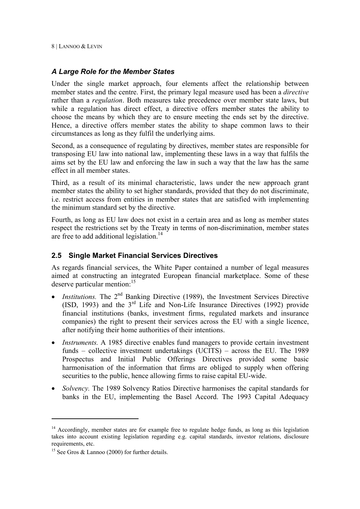#### *A Large Role for the Member States*

Under the single market approach, four elements affect the relationship between member states and the centre. First, the primary legal measure used has been a *directive* rather than a *regulation*. Both measures take precedence over member state laws, but while a regulation has direct effect, a directive offers member states the ability to choose the means by which they are to ensure meeting the ends set by the directive. Hence, a directive offers member states the ability to shape common laws to their circumstances as long as they fulfil the underlying aims.

Second, as a consequence of regulating by directives, member states are responsible for transposing EU law into national law, implementing these laws in a way that fulfils the aims set by the EU law and enforcing the law in such a way that the law has the same effect in all member states.

Third, as a result of its minimal characteristic, laws under the new approach grant member states the ability to set higher standards, provided that they do not discriminate, i.e. restrict access from entities in member states that are satisfied with implementing the minimum standard set by the directive.

Fourth, as long as EU law does not exist in a certain area and as long as member states respect the restrictions set by the Treaty in terms of non-discrimination, member states are free to add additional legislation. $14$ 

#### **2.5 Single Market Financial Services Directives**

As regards financial services, the White Paper contained a number of legal measures aimed at constructing an integrated European financial marketplace. Some of these deserve particular mention:<sup>15</sup>

- *Institutions*. The 2<sup>nd</sup> Banking Directive (1989), the Investment Services Directive (ISD, 1993) and the  $3<sup>rd</sup>$  Life and Non-Life Insurance Directives (1992) provide financial institutions (banks, investment firms, regulated markets and insurance companies) the right to present their services across the EU with a single licence, after notifying their home authorities of their intentions.
- *Instruments.* A 1985 directive enables fund managers to provide certain investment funds – collective investment undertakings (UCITS) – across the EU. The 1989 Prospectus and Initial Public Offerings Directives provided some basic harmonisation of the information that firms are obliged to supply when offering securities to the public, hence allowing firms to raise capital EU-wide.
- *Solvency*. The 1989 Solvency Ratios Directive harmonises the capital standards for banks in the EU, implementing the Basel Accord. The 1993 Capital Adequacy

 $14$  Accordingly, member states are for example free to regulate hedge funds, as long as this legislation takes into account existing legislation regarding e.g. capital standards, investor relations, disclosure requirements, etc.

<sup>&</sup>lt;sup>15</sup> See Gros & Lannoo (2000) for further details.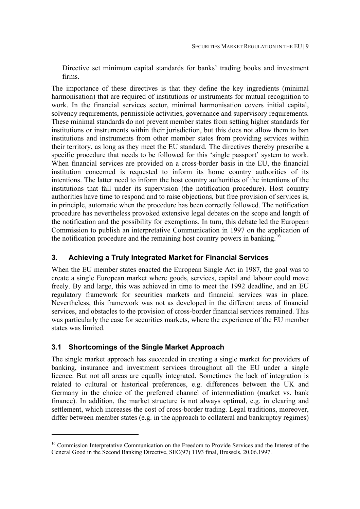Directive set minimum capital standards for banks' trading books and investment firms.

The importance of these directives is that they define the key ingredients (minimal harmonisation) that are required of institutions or instruments for mutual recognition to work. In the financial services sector, minimal harmonisation covers initial capital, solvency requirements, permissible activities, governance and supervisory requirements. These minimal standards do not prevent member states from setting higher standards for institutions or instruments within their jurisdiction, but this does not allow them to ban institutions and instruments from other member states from providing services within their territory, as long as they meet the EU standard. The directives thereby prescribe a specific procedure that needs to be followed for this 'single passport' system to work. When financial services are provided on a cross-border basis in the EU, the financial institution concerned is requested to inform its home country authorities of its intentions. The latter need to inform the host country authorities of the intentions of the institutions that fall under its supervision (the notification procedure). Host country authorities have time to respond and to raise objections, but free provision of services is, in principle, automatic when the procedure has been correctly followed. The notification procedure has nevertheless provoked extensive legal debates on the scope and length of the notification and the possibility for exemptions. In turn, this debate led the European Commission to publish an interpretative Communication in 1997 on the application of the notification procedure and the remaining host country powers in banking.16

#### **3. Achieving a Truly Integrated Market for Financial Services**

When the EU member states enacted the European Single Act in 1987, the goal was to create a single European market where goods, services, capital and labour could move freely. By and large, this was achieved in time to meet the 1992 deadline, and an EU regulatory framework for securities markets and financial services was in place. Nevertheless, this framework was not as developed in the different areas of financial services, and obstacles to the provision of cross-border financial services remained. This was particularly the case for securities markets, where the experience of the EU member states was limited.

#### **3.1 Shortcomings of the Single Market Approach**

l

The single market approach has succeeded in creating a single market for providers of banking, insurance and investment services throughout all the EU under a single licence. But not all areas are equally integrated. Sometimes the lack of integration is related to cultural or historical preferences, e.g. differences between the UK and Germany in the choice of the preferred channel of intermediation (market vs. bank finance). In addition, the market structure is not always optimal, e.g. in clearing and settlement, which increases the cost of cross-border trading. Legal traditions, moreover, differ between member states (e.g. in the approach to collateral and bankruptcy regimes)

<sup>&</sup>lt;sup>16</sup> Commission Interpretative Communication on the Freedom to Provide Services and the Interest of the General Good in the Second Banking Directive, SEC(97) 1193 final, Brussels, 20.06.1997.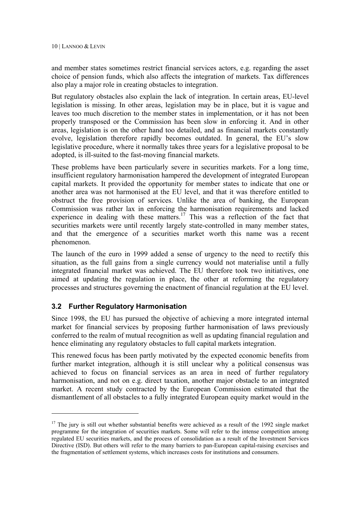and member states sometimes restrict financial services actors, e.g. regarding the asset choice of pension funds, which also affects the integration of markets. Tax differences also play a major role in creating obstacles to integration.

But regulatory obstacles also explain the lack of integration. In certain areas, EU-level legislation is missing. In other areas, legislation may be in place, but it is vague and leaves too much discretion to the member states in implementation, or it has not been properly transposed or the Commission has been slow in enforcing it. And in other areas, legislation is on the other hand too detailed, and as financial markets constantly evolve, legislation therefore rapidly becomes outdated. In general, the EU's slow legislative procedure, where it normally takes three years for a legislative proposal to be adopted, is ill-suited to the fast-moving financial markets.

These problems have been particularly severe in securities markets. For a long time, insufficient regulatory harmonisation hampered the development of integrated European capital markets. It provided the opportunity for member states to indicate that one or another area was not harmonised at the EU level, and that it was therefore entitled to obstruct the free provision of services. Unlike the area of banking, the European Commission was rather lax in enforcing the harmonisation requirements and lacked experience in dealing with these matters.<sup>17</sup> This was a reflection of the fact that securities markets were until recently largely state-controlled in many member states, and that the emergence of a securities market worth this name was a recent phenomenon.

The launch of the euro in 1999 added a sense of urgency to the need to rectify this situation, as the full gains from a single currency would not materialise until a fully integrated financial market was achieved. The EU therefore took two initiatives, one aimed at updating the regulation in place, the other at reforming the regulatory processes and structures governing the enactment of financial regulation at the EU level.

#### **3.2 Further Regulatory Harmonisation**

l

Since 1998, the EU has pursued the objective of achieving a more integrated internal market for financial services by proposing further harmonisation of laws previously conferred to the realm of mutual recognition as well as updating financial regulation and hence eliminating any regulatory obstacles to full capital markets integration.

This renewed focus has been partly motivated by the expected economic benefits from further market integration, although it is still unclear why a political consensus was achieved to focus on financial services as an area in need of further regulatory harmonisation, and not on e.g. direct taxation, another major obstacle to an integrated market. A recent study contracted by the European Commission estimated that the dismantlement of all obstacles to a fully integrated European equity market would in the

 $17$  The jury is still out whether substantial benefits were achieved as a result of the 1992 single market programme for the integration of securities markets. Some will refer to the intense competition among regulated EU securities markets, and the process of consolidation as a result of the Investment Services Directive (ISD). But others will refer to the many barriers to pan-European capital-raising exercises and the fragmentation of settlement systems, which increases costs for institutions and consumers.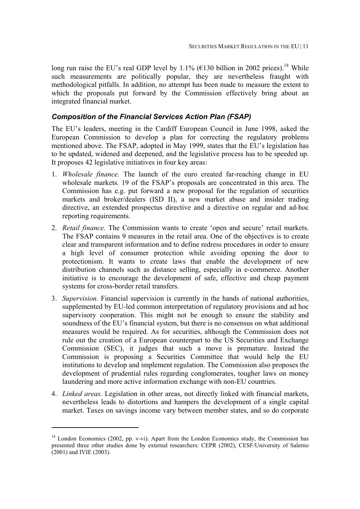long run raise the EU's real GDP level by 1.1% ( $\epsilon$ 130 billion in 2002 prices).<sup>18</sup> While such measurements are politically popular, they are nevertheless fraught with methodological pitfalls. In addition, no attempt has been made to measure the extent to which the proposals put forward by the Commission effectively bring about an integrated financial market.

#### *Composition of the Financial Services Action Plan (FSAP)*

The EU's leaders, meeting in the Cardiff European Council in June 1998, asked the European Commission to develop a plan for correcting the regulatory problems mentioned above. The FSAP, adopted in May 1999, states that the EU's legislation has to be updated, widened and deepened, and the legislative process has to be speeded up. It proposes 42 legislative initiatives in four key areas:

- 1. *Wholesale finance.* The launch of the euro created far-reaching change in EU wholesale markets. 19 of the FSAP's proposals are concentrated in this area. The Commission has e.g. put forward a new proposal for the regulation of securities markets and broker/dealers (ISD II), a new market abuse and insider trading directive, an extended prospectus directive and a directive on regular and ad-hoc reporting requirements.
- 2. *Retail finance.* The Commission wants to create 'open and secure' retail markets. The FSAP contains 9 measures in the retail area. One of the objectives is to create clear and transparent information and to define redress procedures in order to ensure a high level of consumer protection while avoiding opening the door to protectionism. It wants to create laws that enable the development of new distribution channels such as distance selling, especially in e-commerce. Another initiative is to encourage the development of safe, effective and cheap payment systems for cross-border retail transfers.
- 3. *Supervision.* Financial supervision is currently in the hands of national authorities, supplemented by EU-led common interpretation of regulatory provisions and ad hoc supervisory cooperation. This might not be enough to ensure the stability and soundness of the EU's financial system, but there is no consensus on what additional measures would be required. As for securities, although the Commission does not rule out the creation of a European counterpart to the US Securities and Exchange Commission (SEC), it judges that such a move is premature. Instead the Commission is proposing a Securities Committee that would help the EU institutions to develop and implement regulation. The Commission also proposes the development of prudential rules regarding conglomerates, tougher laws on money laundering and more active information exchange with non-EU countries.
- 4. *Linked areas.* Legislation in other areas, not directly linked with financial markets, nevertheless leads to distortions and hampers the development of a single capital market. Taxes on savings income vary between member states, and so do corporate

 $\overline{a}$ 

<sup>&</sup>lt;sup>18</sup> London Economics (2002, pp. v-vi). Apart from the London Economics study, the Commission has presented three other studies done by external researchers: CEPR (2002), CESF/University of Salerno (2001) and IVIE (2003).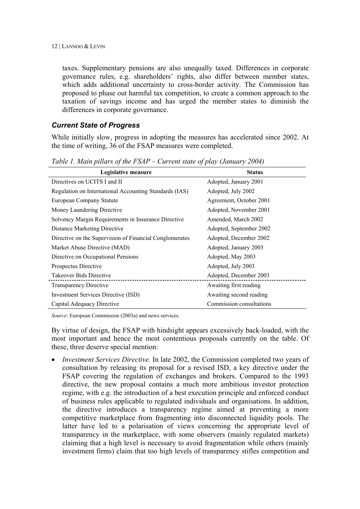taxes. Supplementary pensions are also unequally taxed. Differences in corporate governance rules, e.g. shareholders' rights, also differ between member states, which adds additional uncertainty to cross-border activity. The Commission has proposed to phase out harmful tax competition, to create a common approach to the taxation of savings income and has urged the member states to diminish the differences in corporate governance.

#### *Current State of Progress*

While initially slow, progress in adopting the measures has accelerated since 2002. At the time of writing, 36 of the FSAP measures were completed.

| Legislative measure                                     | <b>Status</b>            |  |
|---------------------------------------------------------|--------------------------|--|
| Directives on UCITS I and II                            | Adopted, January 2001    |  |
| Regulation on International Accounting Standards (IAS)  | Adopted, July 2002       |  |
| European Company Statute                                | Agreement, October 2001  |  |
| Money Laundering Directive                              | Adopted, November 2001   |  |
| Solvency Margin Requirements in Insurance Directive     | Amended, March 2002      |  |
| <b>Distance Marketing Directive</b>                     | Adopted, September 2002  |  |
| Directive on the Supervision of Financial Conglomerates | Adopted, December 2002   |  |
| Market Abuse Directive (MAD)                            | Adopted, January 2003    |  |
| Directive on Occupational Pensions                      | Adopted, May 2003        |  |
| Prospectus Directive                                    | Adopted, July 2003       |  |
| Takeover Bids Directive                                 | Adopted, December 2003   |  |
| <b>Transparency Directive</b>                           | Awaiting first reading   |  |
| <b>Investment Services Directive (ISD)</b>              | Awaiting second reading  |  |
| Capital Adequacy Directive                              | Commission consultations |  |

*Table 1. Main pillars of the FSAP – Current state of play (January 2004)* 

*Source*: European Commission (2003a) and news services.

By virtue of design, the FSAP with hindsight appears excessively back-loaded, with the most important and hence the most contentious proposals currently on the table. Of these, three deserve special mention:

• *Investment Services Directive.* In late 2002, the Commission completed two years of consultation by releasing its proposal for a revised ISD, a key directive under the FSAP covering the regulation of exchanges and brokers. Compared to the 1993 directive, the new proposal contains a much more ambitious investor protection regime, with e.g. the introduction of a best execution principle and enforced conduct of business rules applicable to regulated individuals and organisations. In addition, the directive introduces a transparency regime aimed at preventing a more competitive marketplace from fragmenting into disconnected liquidity pools. The latter have led to a polarisation of views concerning the appropriate level of transparency in the marketplace, with some observers (mainly regulated markets) claiming that a high level is necessary to avoid fragmentation while others (mainly investment firms) claim that too high levels of transparency stifles competition and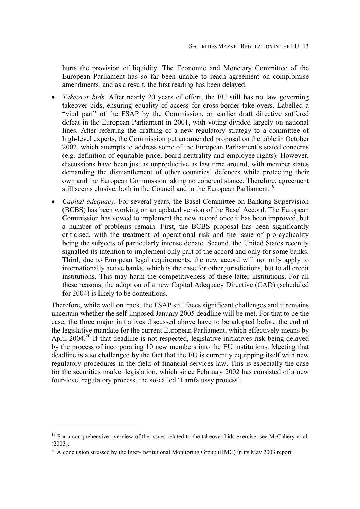hurts the provision of liquidity. The Economic and Monetary Committee of the European Parliament has so far been unable to reach agreement on compromise amendments, and as a result, the first reading has been delayed.

- *Takeover bids.* After nearly 20 years of effort, the EU still has no law governing takeover bids, ensuring equality of access for cross-border take-overs. Labelled a "vital part" of the FSAP by the Commission, an earlier draft directive suffered defeat in the European Parliament in 2001, with voting divided largely on national lines. After referring the drafting of a new regulatory strategy to a committee of high-level experts, the Commission put an amended proposal on the table in October 2002, which attempts to address some of the European Parliament's stated concerns (e.g. definition of equitable price, board neutrality and employee rights). However, discussions have been just as unproductive as last time around, with member states demanding the dismantlement of other countries' defences while protecting their own and the European Commission taking no coherent stance. Therefore, agreement still seems elusive, both in the Council and in the European Parliament.<sup>19</sup>
- *Capital adequacy*. For several years, the Basel Committee on Banking Supervision (BCBS) has been working on an updated version of the Basel Accord. The European Commission has vowed to implement the new accord once it has been improved, but a number of problems remain. First, the BCBS proposal has been significantly criticised, with the treatment of operational risk and the issue of pro-cyclicality being the subjects of particularly intense debate. Second, the United States recently signalled its intention to implement only part of the accord and only for some banks. Third, due to European legal requirements, the new accord will not only apply to internationally active banks, which is the case for other jurisdictions, but to all credit institutions. This may harm the competitiveness of these latter institutions. For all these reasons, the adoption of a new Capital Adequacy Directive (CAD) (scheduled for 2004) is likely to be contentious.

Therefore, while well on track, the FSAP still faces significant challenges and it remains uncertain whether the self-imposed January 2005 deadline will be met. For that to be the case, the three major initiatives discussed above have to be adopted before the end of the legislative mandate for the current European Parliament, which effectively means by April 2004.<sup>20</sup> If that deadline is not respected, legislative initiatives risk being delayed by the process of incorporating 10 new members into the EU institutions. Meeting that deadline is also challenged by the fact that the EU is currently equipping itself with new regulatory procedures in the field of financial services law. This is especially the case for the securities market legislation, which since February 2002 has consisted of a new four-level regulatory process, the so-called 'Lamfalussy process'.

 $\overline{a}$ 

 $19$  For a comprehensive overview of the issues related to the takeover bids exercise, see McCahery et al. (2003).

 $^{20}$  A conclusion stressed by the Inter-Institutional Monitoring Group (IIMG) in its May 2003 report.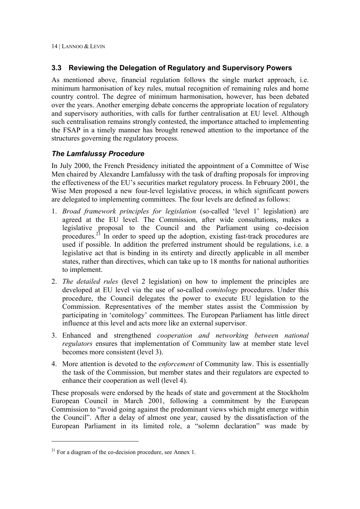#### **3.3 Reviewing the Delegation of Regulatory and Supervisory Powers**

As mentioned above, financial regulation follows the single market approach, i.e. minimum harmonisation of key rules, mutual recognition of remaining rules and home country control. The degree of minimum harmonisation, however, has been debated over the years. Another emerging debate concerns the appropriate location of regulatory and supervisory authorities, with calls for further centralisation at EU level. Although such centralisation remains strongly contested, the importance attached to implementing the FSAP in a timely manner has brought renewed attention to the importance of the structures governing the regulatory process.

#### *The Lamfalussy Procedure*

In July 2000, the French Presidency initiated the appointment of a Committee of Wise Men chaired by Alexandre Lamfalussy with the task of drafting proposals for improving the effectiveness of the EU's securities market regulatory process. In February 2001, the Wise Men proposed a new four-level legislative process, in which significant powers are delegated to implementing committees. The four levels are defined as follows:

- 1. *Broad framework principles for legislation* (so-called 'level 1' legislation) are agreed at the EU level. The Commission, after wide consultations, makes a legislative proposal to the Council and the Parliament using co-decision procedures.21 In order to speed up the adoption, existing fast-track procedures are used if possible. In addition the preferred instrument should be regulations, i.e. a legislative act that is binding in its entirety and directly applicable in all member states, rather than directives, which can take up to 18 months for national authorities to implement.
- 2. *The detailed rules* (level 2 legislation) on how to implement the principles are developed at EU level via the use of so-called *comitology* procedures. Under this procedure, the Council delegates the power to execute EU legislation to the Commission. Representatives of the member states assist the Commission by participating in 'comitology' committees. The European Parliament has little direct influence at this level and acts more like an external supervisor.
- 3. Enhanced and strengthened *cooperation and networking between national regulators* ensures that implementation of Community law at member state level becomes more consistent (level 3).
- 4. More attention is devoted to the *enforcement* of Community law. This is essentially the task of the Commission, but member states and their regulators are expected to enhance their cooperation as well (level 4).

These proposals were endorsed by the heads of state and government at the Stockholm European Council in March 2001, following a commitment by the European Commission to "avoid going against the predominant views which might emerge within the Council". After a delay of almost one year, caused by the dissatisfaction of the European Parliament in its limited role, a "solemn declaration" was made by

 $21$  For a diagram of the co-decision procedure, see Annex 1.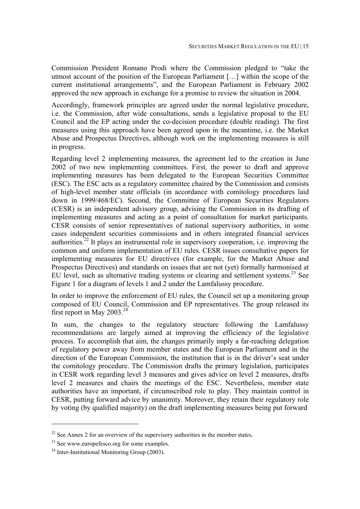Commission President Romano Prodi where the Commission pledged to "take the utmost account of the position of the European Parliament […] within the scope of the current institutional arrangements", and the European Parliament in February 2002 approved the new approach in exchange for a promise to review the situation in 2004.

Accordingly, framework principles are agreed under the normal legislative procedure, i.e. the Commission, after wide consultations, sends a legislative proposal to the EU Council and the EP acting under the co-decision procedure (double reading). The first measures using this approach have been agreed upon in the meantime, i.e. the Market Abuse and Prospectus Directives, although work on the implementing measures is still in progress.

Regarding level 2 implementing measures, the agreement led to the creation in June 2002 of two new implementing committees. First, the power to draft and approve implementing measures has been delegated to the European Securities Committee (ESC). The ESC acts as a regulatory committee chaired by the Commission and consists of high-level member state officials (in accordance with comitology procedures laid down in 1999/468/EC). Second, the Committee of European Securities Regulators (CESR) is an independent advisory group, advising the Commission in its drafting of implementing measures and acting as a point of consultation for market participants. CESR consists of senior representatives of national supervisory authorities, in some cases independent securities commissions and in others integrated financial services authorities.<sup>22</sup> It plays an instrumental role in supervisory cooperation, i.e. improving the common and uniform implementation of EU rules. CESR issues consultative papers for implementing measures for EU directives (for example, for the Market Abuse and Prospectus Directives) and standards on issues that are not (yet) formally harmonised at EU level, such as alternative trading systems or clearing and settlement systems.<sup>23</sup> See Figure 1 for a diagram of levels 1 and 2 under the Lamfalussy procedure.

In order to improve the enforcement of EU rules, the Council set up a monitoring group composed of EU Council, Commission and EP representatives. The group released its first report in May  $2003.<sup>24</sup>$ 

In sum, the changes to the regulatory structure following the Lamfalussy recommendations are largely aimed at improving the efficiency of the legislative process. To accomplish that aim, the changes primarily imply a far-reaching delegation of regulatory power away from member states and the European Parliament and in the direction of the European Commission, the institution that is in the driver's seat under the comitology procedure. The Commission drafts the primary legislation, participates in CESR work regarding level 3 measures and gives advice on level 2 measures, drafts level 2 measures and chairs the meetings of the ESC. Nevertheless, member state authorities have an important, if circumscribed role to play. They maintain control in CESR, putting forward advice by unanimity. Moreover, they retain their regulatory role by voting (by qualified majority) on the draft implementing measures being put forward

 $\overline{a}$ 

 $22$  See Annex 2 for an overview of the supervisory authorities in the member states.

<sup>&</sup>lt;sup>23</sup> See www.europefesco.org for some examples.

 $24$  Inter-Institutional Monitoring Group (2003).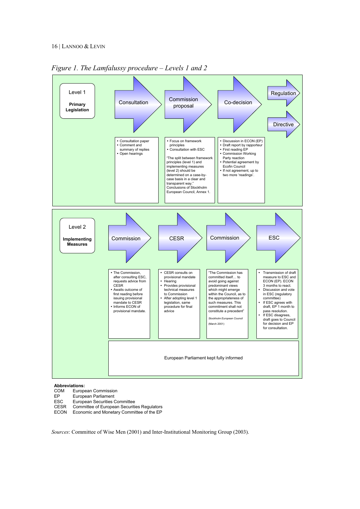

*Figure 1. The Lamfalussy procedure – Levels 1 and 2* 

### **Abbreviations:**

- European Commission
- EP European Parliament
- ESC European Securities Committee<br>CESR Committee of European Securiti
- CESR Committee of European Securities Regulators<br>ECON Economic and Monetary Committee of the EP
- Economic and Monetary Committee of the EP

*Sources*: Committee of Wise Men (2001) and Inter-Institutional Monitoring Group (2003).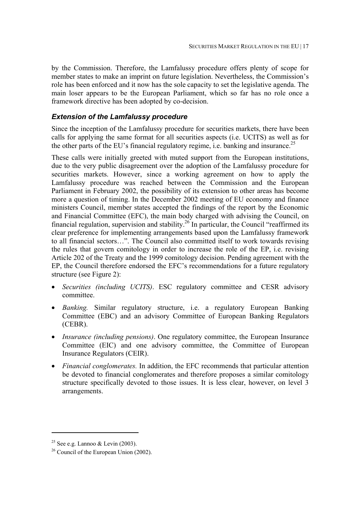by the Commission. Therefore, the Lamfalussy procedure offers plenty of scope for member states to make an imprint on future legislation. Nevertheless, the Commission's role has been enforced and it now has the sole capacity to set the legislative agenda. The main loser appears to be the European Parliament, which so far has no role once a framework directive has been adopted by co-decision.

#### *Extension of the Lamfalussy procedure*

Since the inception of the Lamfalussy procedure for securities markets, there have been calls for applying the same format for all securities aspects (i.e. UCITS) as well as for the other parts of the EU's financial regulatory regime, i.e. banking and insurance.<sup>25</sup>

These calls were initially greeted with muted support from the European institutions, due to the very public disagreement over the adoption of the Lamfalussy procedure for securities markets. However, since a working agreement on how to apply the Lamfalussy procedure was reached between the Commission and the European Parliament in February 2002, the possibility of its extension to other areas has become more a question of timing. In the December 2002 meeting of EU economy and finance ministers Council, member states accepted the findings of the report by the Economic and Financial Committee (EFC), the main body charged with advising the Council, on financial regulation, supervision and stability.<sup>26</sup> In particular, the Council "reaffirmed its clear preference for implementing arrangements based upon the Lamfalussy framework to all financial sectors…". The Council also committed itself to work towards revising the rules that govern comitology in order to increase the role of the EP, i.e. revising Article 202 of the Treaty and the 1999 comitology decision. Pending agreement with the EP, the Council therefore endorsed the EFC's recommendations for a future regulatory structure (see Figure 2):

- *Securities (including UCITS)*. ESC regulatory committee and CESR advisory committee.
- *Banking.* Similar regulatory structure, i.e. a regulatory European Banking Committee (EBC) and an advisory Committee of European Banking Regulators (CEBR).
- *Insurance (including pensions)*. One regulatory committee, the European Insurance Committee (EIC) and one advisory committee, the Committee of European Insurance Regulators (CEIR).
- *Financial conglomerates.* In addition, the EFC recommends that particular attention be devoted to financial conglomerates and therefore proposes a similar comitology structure specifically devoted to those issues. It is less clear, however, on level 3 arrangements.

<sup>&</sup>lt;sup>25</sup> See e.g. Lannoo & Levin (2003).

 $26$  Council of the European Union (2002).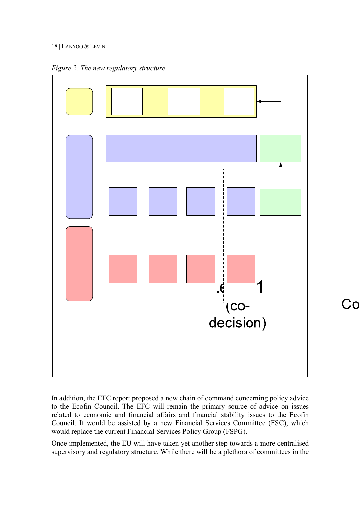#### 18 | LANNOO & LEVIN





In addition, the EFC report proposed a new chain of command concerning policy advice to the Ecofin Council. The EFC will remain the primary source of advice on issues related to economic and financial affairs and financial stability issues to the Ecofin Council. It would be assisted by a new Financial Services Committee (FSC), which would replace the current Financial Services Policy Group (FSPG).

Once implemented, the EU will have taken yet another step towards a more centralised supervisory and regulatory structure. While there will be a plethora of committees in the

### **CO**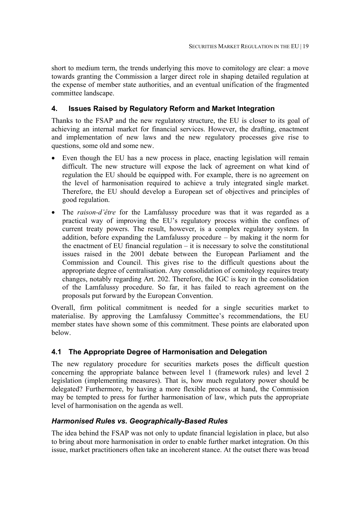short to medium term, the trends underlying this move to comitology are clear: a move towards granting the Commission a larger direct role in shaping detailed regulation at the expense of member state authorities, and an eventual unification of the fragmented committee landscape.

#### **4. Issues Raised by Regulatory Reform and Market Integration**

Thanks to the FSAP and the new regulatory structure, the EU is closer to its goal of achieving an internal market for financial services. However, the drafting, enactment and implementation of new laws and the new regulatory processes give rise to questions, some old and some new.

- Even though the EU has a new process in place, enacting legislation will remain difficult. The new structure will expose the lack of agreement on what kind of regulation the EU should be equipped with. For example, there is no agreement on the level of harmonisation required to achieve a truly integrated single market. Therefore, the EU should develop a European set of objectives and principles of good regulation.
- The *raison-d'être* for the Lamfalussy procedure was that it was regarded as a practical way of improving the EU's regulatory process within the confines of current treaty powers. The result, however, is a complex regulatory system. In addition, before expanding the Lamfalussy procedure – by making it the norm for the enactment of EU financial regulation – it is necessary to solve the constitutional issues raised in the 2001 debate between the European Parliament and the Commission and Council. This gives rise to the difficult questions about the appropriate degree of centralisation. Any consolidation of comitology requires treaty changes, notably regarding Art. 202. Therefore, the IGC is key in the consolidation of the Lamfalussy procedure. So far, it has failed to reach agreement on the proposals put forward by the European Convention.

Overall, firm political commitment is needed for a single securities market to materialise. By approving the Lamfalussy Committee's recommendations, the EU member states have shown some of this commitment. These points are elaborated upon below.

#### **4.1 The Appropriate Degree of Harmonisation and Delegation**

The new regulatory procedure for securities markets poses the difficult question concerning the appropriate balance between level 1 (framework rules) and level 2 legislation (implementing measures). That is, how much regulatory power should be delegated? Furthermore, by having a more flexible process at hand, the Commission may be tempted to press for further harmonisation of law, which puts the appropriate level of harmonisation on the agenda as well.

#### *Harmonised Rules vs. Geographically-Based Rules*

The idea behind the FSAP was not only to update financial legislation in place, but also to bring about more harmonisation in order to enable further market integration. On this issue, market practitioners often take an incoherent stance. At the outset there was broad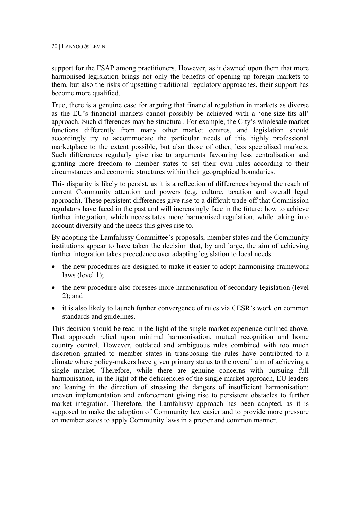support for the FSAP among practitioners. However, as it dawned upon them that more harmonised legislation brings not only the benefits of opening up foreign markets to them, but also the risks of upsetting traditional regulatory approaches, their support has become more qualified.

True, there is a genuine case for arguing that financial regulation in markets as diverse as the EU's financial markets cannot possibly be achieved with a 'one-size-fits-all' approach. Such differences may be structural. For example, the City's wholesale market functions differently from many other market centres, and legislation should accordingly try to accommodate the particular needs of this highly professional marketplace to the extent possible, but also those of other, less specialised markets. Such differences regularly give rise to arguments favouring less centralisation and granting more freedom to member states to set their own rules according to their circumstances and economic structures within their geographical boundaries.

This disparity is likely to persist, as it is a reflection of differences beyond the reach of current Community attention and powers (e.g. culture, taxation and overall legal approach). These persistent differences give rise to a difficult trade-off that Commission regulators have faced in the past and will increasingly face in the future: how to achieve further integration, which necessitates more harmonised regulation, while taking into account diversity and the needs this gives rise to.

By adopting the Lamfalussy Committee's proposals, member states and the Community institutions appear to have taken the decision that, by and large, the aim of achieving further integration takes precedence over adapting legislation to local needs:

- the new procedures are designed to make it easier to adopt harmonising framework laws (level 1);
- the new procedure also foresees more harmonisation of secondary legislation (level) 2); and
- it is also likely to launch further convergence of rules via CESR's work on common standards and guidelines.

This decision should be read in the light of the single market experience outlined above. That approach relied upon minimal harmonisation, mutual recognition and home country control. However, outdated and ambiguous rules combined with too much discretion granted to member states in transposing the rules have contributed to a climate where policy-makers have given primary status to the overall aim of achieving a single market. Therefore, while there are genuine concerns with pursuing full harmonisation, in the light of the deficiencies of the single market approach, EU leaders are leaning in the direction of stressing the dangers of insufficient harmonisation: uneven implementation and enforcement giving rise to persistent obstacles to further market integration. Therefore, the Lamfalussy approach has been adopted, as it is supposed to make the adoption of Community law easier and to provide more pressure on member states to apply Community laws in a proper and common manner.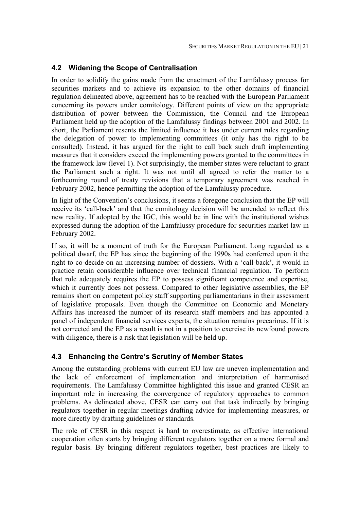#### **4.2 Widening the Scope of Centralisation**

In order to solidify the gains made from the enactment of the Lamfalussy process for securities markets and to achieve its expansion to the other domains of financial regulation delineated above, agreement has to be reached with the European Parliament concerning its powers under comitology. Different points of view on the appropriate distribution of power between the Commission, the Council and the European Parliament held up the adoption of the Lamfalussy findings between 2001 and 2002. In short, the Parliament resents the limited influence it has under current rules regarding the delegation of power to implementing committees (it only has the right to be consulted). Instead, it has argued for the right to call back such draft implementing measures that it considers exceed the implementing powers granted to the committees in the framework law (level 1). Not surprisingly, the member states were reluctant to grant the Parliament such a right. It was not until all agreed to refer the matter to a forthcoming round of treaty revisions that a temporary agreement was reached in February 2002, hence permitting the adoption of the Lamfalussy procedure.

In light of the Convention's conclusions, it seems a foregone conclusion that the EP will receive its 'call-back' and that the comitology decision will be amended to reflect this new reality. If adopted by the IGC, this would be in line with the institutional wishes expressed during the adoption of the Lamfalussy procedure for securities market law in February 2002.

If so, it will be a moment of truth for the European Parliament. Long regarded as a political dwarf, the EP has since the beginning of the 1990s had conferred upon it the right to co-decide on an increasing number of dossiers. With a 'call-back', it would in practice retain considerable influence over technical financial regulation. To perform that role adequately requires the EP to possess significant competence and expertise, which it currently does not possess. Compared to other legislative assemblies, the EP remains short on competent policy staff supporting parliamentarians in their assessment of legislative proposals. Even though the Committee on Economic and Monetary Affairs has increased the number of its research staff members and has appointed a panel of independent financial services experts, the situation remains precarious. If it is not corrected and the EP as a result is not in a position to exercise its newfound powers with diligence, there is a risk that legislation will be held up.

#### **4.3 Enhancing the Centre's Scrutiny of Member States**

Among the outstanding problems with current EU law are uneven implementation and the lack of enforcement of implementation and interpretation of harmonised requirements. The Lamfalussy Committee highlighted this issue and granted CESR an important role in increasing the convergence of regulatory approaches to common problems. As delineated above, CESR can carry out that task indirectly by bringing regulators together in regular meetings drafting advice for implementing measures, or more directly by drafting guidelines or standards.

The role of CESR in this respect is hard to overestimate, as effective international cooperation often starts by bringing different regulators together on a more formal and regular basis. By bringing different regulators together, best practices are likely to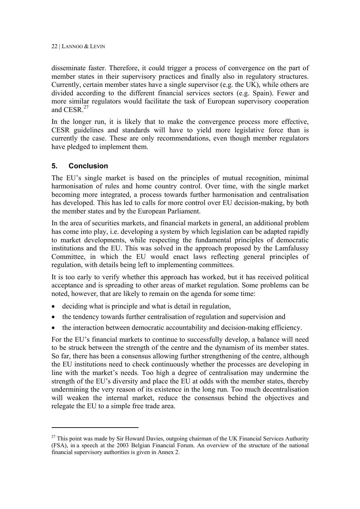disseminate faster. Therefore, it could trigger a process of convergence on the part of member states in their supervisory practices and finally also in regulatory structures. Currently, certain member states have a single supervisor (e.g. the UK), while others are divided according to the different financial services sectors (e.g. Spain). Fewer and more similar regulators would facilitate the task of European supervisory cooperation and CESR<sup>27</sup>

In the longer run, it is likely that to make the convergence process more effective, CESR guidelines and standards will have to yield more legislative force than is currently the case. These are only recommendations, even though member regulators have pledged to implement them.

#### **5. Conclusion**

 $\overline{a}$ 

The EU's single market is based on the principles of mutual recognition, minimal harmonisation of rules and home country control. Over time, with the single market becoming more integrated, a process towards further harmonisation and centralisation has developed. This has led to calls for more control over EU decision-making, by both the member states and by the European Parliament.

In the area of securities markets, and financial markets in general, an additional problem has come into play, i.e. developing a system by which legislation can be adapted rapidly to market developments, while respecting the fundamental principles of democratic institutions and the EU. This was solved in the approach proposed by the Lamfalussy Committee, in which the EU would enact laws reflecting general principles of regulation, with details being left to implementing committees.

It is too early to verify whether this approach has worked, but it has received political acceptance and is spreading to other areas of market regulation. Some problems can be noted, however, that are likely to remain on the agenda for some time:

- deciding what is principle and what is detail in regulation,
- the tendency towards further centralisation of regulation and supervision and
- the interaction between democratic accountability and decision-making efficiency.

For the EU's financial markets to continue to successfully develop, a balance will need to be struck between the strength of the centre and the dynamism of its member states. So far, there has been a consensus allowing further strengthening of the centre, although the EU institutions need to check continuously whether the processes are developing in line with the market's needs. Too high a degree of centralisation may undermine the strength of the EU's diversity and place the EU at odds with the member states, thereby undermining the very reason of its existence in the long run. Too much decentralisation will weaken the internal market, reduce the consensus behind the objectives and relegate the EU to a simple free trade area.

 $27$  This point was made by Sir Howard Davies, outgoing chairman of the UK Financial Services Authority (FSA), in a speech at the 2003 Belgian Financial Forum. An overview of the structure of the national financial supervisory authorities is given in Annex 2.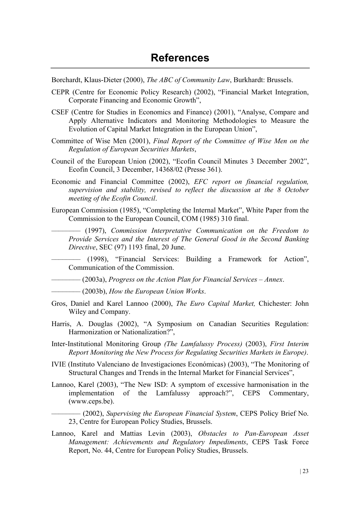Borchardt, Klaus-Dieter (2000), *The ABC of Community Law*, Burkhardt: Brussels.

- CEPR (Centre for Economic Policy Research) (2002), "Financial Market Integration, Corporate Financing and Economic Growth",
- CSEF (Centre for Studies in Economics and Finance) (2001), "Analyse, Compare and Apply Alternative Indicators and Monitoring Methodologies to Measure the Evolution of Capital Market Integration in the European Union",
- Committee of Wise Men (2001), *Final Report of the Committee of Wise Men on the Regulation of European Securities Markets*,
- Council of the European Union (2002), "Ecofin Council Minutes 3 December 2002", Ecofin Council, 3 December, 14368/02 (Presse 361).
- Economic and Financial Committee (2002), *EFC report on financial regulation, supervision and stability, revised to reflect the discussion at the 8 October meeting of the Ecofin Council*.
- European Commission (1985), "Completing the Internal Market", White Paper from the Commission to the European Council, COM (1985) 310 final.

–––––––– (1997), *Commission Interpretative Communication on the Freedom to Provide Services and the Interest of The General Good in the Second Banking Directive*, SEC (97) 1193 final, 20 June.

–––––––– (1998), "Financial Services: Building a Framework for Action", Communication of the Commission.

–––––––– (2003a), *Progress on the Action Plan for Financial Services – Annex*.

- –––––––– (2003b), *How the European Union Works*.
- Gros, Daniel and Karel Lannoo (2000), *The Euro Capital Market,* Chichester: John Wiley and Company.
- Harris, A. Douglas (2002), "A Symposium on Canadian Securities Regulation: Harmonization or Nationalization?",
- Inter-Institutional Monitoring Group *(The Lamfalussy Process)* (2003), *First Interim Report Monitoring the New Process for Regulating Securities Markets in Europe)*.
- IVIE (Instituto Valenciano de Investigaciones Económicas) (2003), "The Monitoring of Structural Changes and Trends in the Internal Market for Financial Services",
- Lannoo, Karel (2003), "The New ISD: A symptom of excessive harmonisation in the implementation of the Lamfalussy approach?", CEPS Commentary, (www.ceps.be).

–––––––– (2002), *Supervising the European Financial System*, CEPS Policy Brief No. 23, Centre for European Policy Studies, Brussels.

Lannoo, Karel and Mattias Levin (2003), *Obstacles to Pan-European Asset Management: Achievements and Regulatory Impediments*, CEPS Task Force Report, No. 44, Centre for European Policy Studies, Brussels.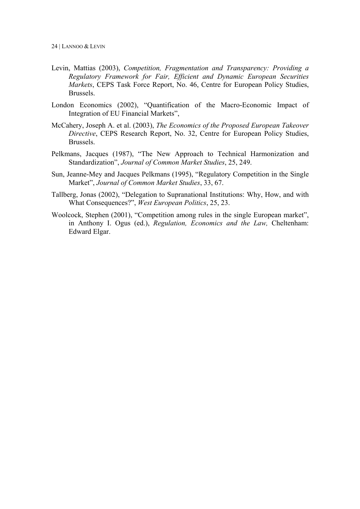- Levin, Mattias (2003), *Competition, Fragmentation and Transparency: Providing a Regulatory Framework for Fair, Efficient and Dynamic European Securities Markets*, CEPS Task Force Report, No. 46, Centre for European Policy Studies, Brussels.
- London Economics (2002), "Quantification of the Macro-Economic Impact of Integration of EU Financial Markets",
- McCahery, Joseph A. et al. (2003), *The Economics of the Proposed European Takeover Directive*, CEPS Research Report, No. 32, Centre for European Policy Studies, Brussels.
- Pelkmans, Jacques (1987), "The New Approach to Technical Harmonization and Standardization", *Journal of Common Market Studies*, 25, 249.
- Sun, Jeanne-Mey and Jacques Pelkmans (1995), "Regulatory Competition in the Single Market", *Journal of Common Market Studies*, 33, 67.
- Tallberg, Jonas (2002), "Delegation to Supranational Institutions: Why, How, and with What Consequences?", *West European Politics*, 25, 23.
- Woolcock, Stephen (2001), "Competition among rules in the single European market", in Anthony I. Ogus (ed.), *Regulation, Economics and the Law,* Cheltenham: Edward Elgar.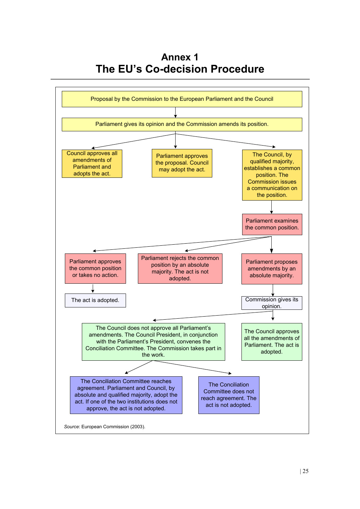**Annex 1 The EU's Co-decision Procedure**